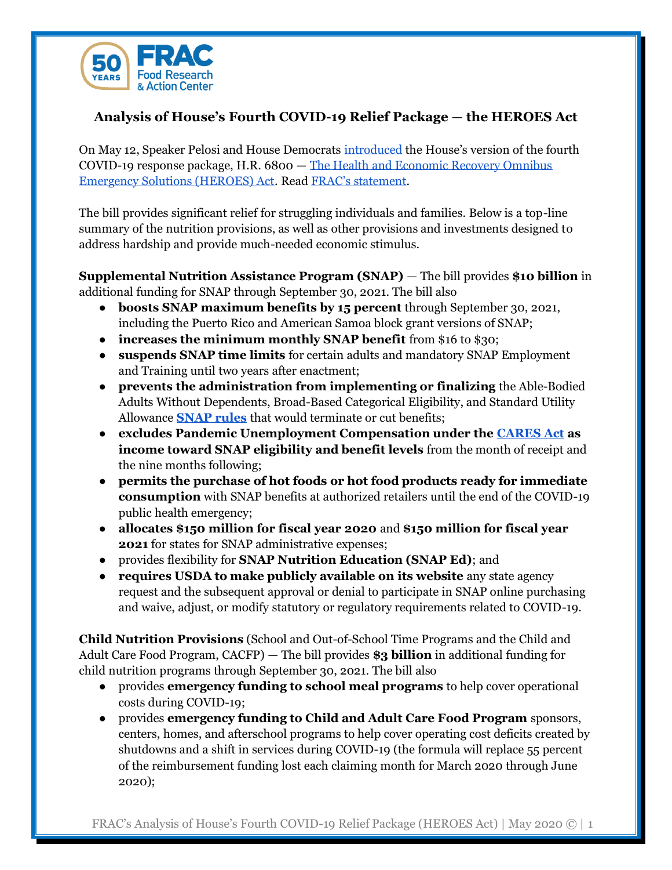

## **Analysis of House's Fourth COVID-19 Relief Package** — **the HEROES Act**

On May 12, Speaker Pelosi and House Democrats [introduced](https://appropriations.house.gov/news/press-releases/house-democrats-introduce-the-heroes-act) the House's version of the fourth COVID-19 response package, H.R. 6800 — [The Health and Economic Recovery Omnibus](https://appropriations.house.gov/sites/democrats.appropriations.house.gov/files/documents/Heroes%20Act%20Bill%20Text.pdf)  [Emergency Solutions \(HEROES\) Act.](https://appropriations.house.gov/sites/democrats.appropriations.house.gov/files/documents/Heroes%20Act%20Bill%20Text.pdf) Read [FRAC's statement](https://frac.org/news/frac-commends-snap-and-child-nutrition-and-broad-stimulus-provisions-in-latest-covid19-recovery-package).

The bill provides significant relief for struggling individuals and families. Below is a top-line summary of the nutrition provisions, as well as other provisions and investments designed to address hardship and provide much-needed economic stimulus.

**Supplemental Nutrition Assistance Program (SNAP)** — The bill provides **\$10 billion** in additional funding for SNAP through September 30, 2021. The bill also

- **boosts SNAP maximum benefits by 15 percent** through September 30, 2021, including the Puerto Rico and American Samoa block grant versions of SNAP;
- **increases the minimum monthly SNAP benefit** from \$16 to \$30;
- **suspends SNAP time limits** for certain adults and mandatory SNAP Employment and Training until two years after enactment;
- **prevents the administration from implementing or finalizing** the Able-Bodied Adults Without Dependents, Broad-Based Categorical Eligibility, and Standard Utility Allowance **[SNAP rules](https://frac.org/blog/status-of-usda-attempts-to-cut-snap)** that would terminate or cut benefits;
- **excludes Pandemic Unemployment Compensation under the [CARES Act](https://www.congress.gov/bill/116th-congress/house-bill/748) as income toward SNAP eligibility and benefit levels** from the month of receipt and the nine months following;
- **permits the purchase of hot foods or hot food products ready for immediate consumption** with SNAP benefits at authorized retailers until the end of the COVID-19 public health emergency;
- **allocates \$150 million for fiscal year 2020** and **\$150 million for fiscal year 2021** for states for SNAP administrative expenses;
- provides flexibility for **SNAP Nutrition Education (SNAP Ed)**; and
- **requires USDA to make publicly available on its website** any state agency request and the subsequent approval or denial to participate in SNAP online purchasing and waive, adjust, or modify statutory or regulatory requirements related to COVID-19.

**Child Nutrition Provisions** (School and Out-of-School Time Programs and the Child and Adult Care Food Program, CACFP) — The bill provides **\$3 billion** in additional funding for child nutrition programs through September 30, 2021. The bill also

- provides **emergency funding to school meal programs** to help cover operational costs during COVID-19;
- provides **emergency funding to Child and Adult Care Food Program** sponsors, centers, homes, and afterschool programs to help cover operating cost deficits created by shutdowns and a shift in services during COVID-19 (the formula will replace 55 percent of the reimbursement funding lost each claiming month for March 2020 through June 2020);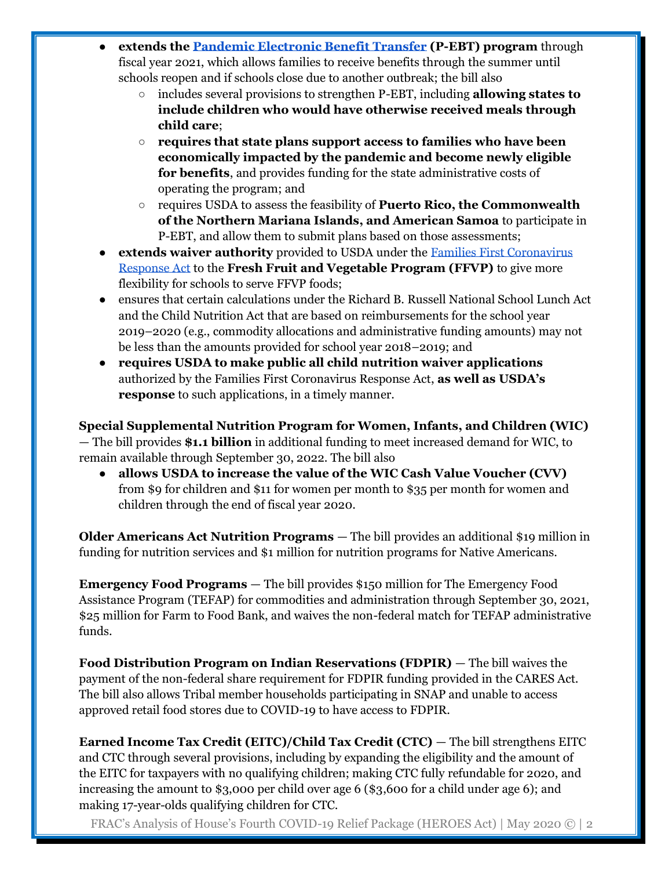- **extends th[e Pandemic Electronic Benefit Transfer](https://frac.org/pebt) (P-EBT) program** through fiscal year 2021, which allows families to receive benefits through the summer until schools reopen and if schools close due to another outbreak; the bill also
	- includes several provisions to strengthen P-EBT, including **allowing states to include children who would have otherwise received meals through child care**;
	- **requires that state plans support access to families who have been economically impacted by the pandemic and become newly eligible for benefits**, and provides funding for the state administrative costs of operating the program; and
	- requires USDA to assess the feasibility of **Puerto Rico, the Commonwealth of the Northern Mariana Islands, and American Samoa** to participate in P-EBT, and allow them to submit plans based on those assessments;
- **extends waiver authority** provided to USDA under the Families First Coronavirus [Response Act](https://frac.org/wp-content/uploads/h.r.-6201-top-line-summary-nutrition-provisions.pdf) to the **Fresh Fruit and Vegetable Program (FFVP)** to give more flexibility for schools to serve FFVP foods;
- ensures that certain calculations under the Richard B. Russell National School Lunch Act and the Child Nutrition Act that are based on reimbursements for the school year 2019–2020 (e.g., commodity allocations and administrative funding amounts) may not be less than the amounts provided for school year 2018–2019; and
- **requires USDA to make public all child nutrition waiver applications** authorized by the Families First Coronavirus Response Act, **as well as USDA's response** to such applications, in a timely manner.

**Special Supplemental Nutrition Program for Women, Infants, and Children (WIC)**  — The bill provides **\$1.1 billion** in additional funding to meet increased demand for WIC, to remain available through September 30, 2022. The bill also

● **allows USDA to increase the value of the WIC Cash Value Voucher (CVV)** from \$9 for children and \$11 for women per month to \$35 per month for women and children through the end of fiscal year 2020.

**Older Americans Act Nutrition Programs** — The bill provides an additional \$19 million in funding for nutrition services and \$1 million for nutrition programs for Native Americans.

**Emergency Food Programs** — The bill provides \$150 million for The Emergency Food Assistance Program (TEFAP) for commodities and administration through September 30, 2021, \$25 million for Farm to Food Bank, and waives the non-federal match for TEFAP administrative funds.

**Food Distribution Program on Indian Reservations (FDPIR)** — The bill waives the payment of the non-federal share requirement for FDPIR funding provided in the CARES Act. The bill also allows Tribal member households participating in SNAP and unable to access approved retail food stores due to COVID-19 to have access to FDPIR.

**Earned Income Tax Credit (EITC)/Child Tax Credit (CTC)** — The bill strengthens EITC and CTC through several provisions, including by expanding the eligibility and the amount of the EITC for taxpayers with no qualifying children; making CTC fully refundable for 2020, and increasing the amount to \$3,000 per child over age 6 (\$3,600 for a child under age 6); and making 17-year-olds qualifying children for CTC.

FRAC's Analysis of House's Fourth COVID-19 Relief Package (HEROES Act) | May 2020 © | 2